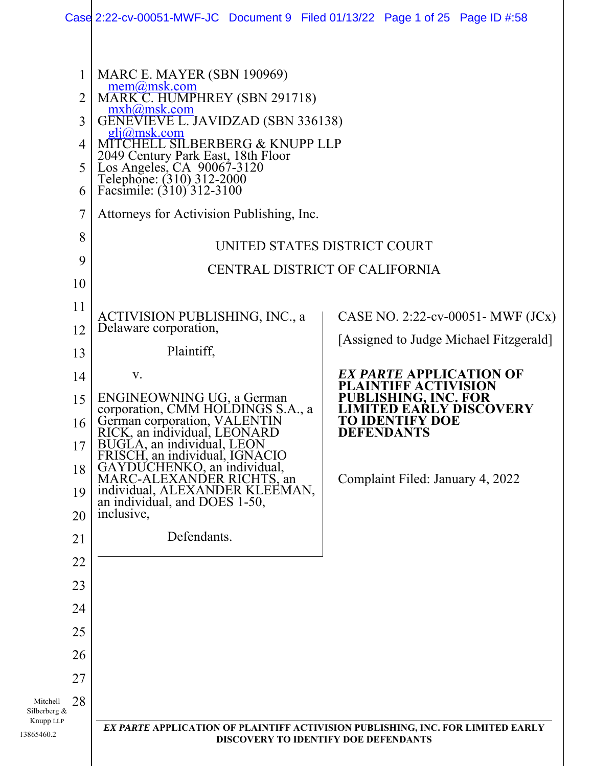|                                                              | Case 2:22-cv-00051-MWF-JC Document 9 Filed 01/13/22 Page 1 of 25 Page ID #:58                                                                                                                                                                                                                                                                                      |                                                                                                                                        |  |  |
|--------------------------------------------------------------|--------------------------------------------------------------------------------------------------------------------------------------------------------------------------------------------------------------------------------------------------------------------------------------------------------------------------------------------------------------------|----------------------------------------------------------------------------------------------------------------------------------------|--|--|
| $\mathbf{1}$<br>$\overline{2}$<br>3<br>4<br>5<br>6<br>7<br>8 | MARC E. MAYER (SBN 190969)<br>mem@msk.com<br>MARK_C. HUMPHREY (SBN 291718)<br>mxh@msk.com<br>GENEVIEVE L. JAVIDZAD (SBN 336138)<br>$gli(\omega$ msk.com<br>CHELL SILBERBERG & KNUPP LLP<br>2049 Century Park East, 18th Floor<br>Los Angeles, CA 90067-3120<br>Telephone: (310) 312-2000<br>Facsimile: (310) 312-3100<br>Attorneys for Activision Publishing, Inc. | UNITED STATES DISTRICT COURT                                                                                                           |  |  |
| 9                                                            |                                                                                                                                                                                                                                                                                                                                                                    | CENTRAL DISTRICT OF CALIFORNIA                                                                                                         |  |  |
| 10                                                           |                                                                                                                                                                                                                                                                                                                                                                    |                                                                                                                                        |  |  |
| 11                                                           | ACTIVISION PUBLISHING, INC., a                                                                                                                                                                                                                                                                                                                                     | CASE NO. 2:22-cv-00051- MWF $JC(x)$                                                                                                    |  |  |
| 12                                                           | Delaware corporation,                                                                                                                                                                                                                                                                                                                                              | [Assigned to Judge Michael Fitzgerald]                                                                                                 |  |  |
| 13                                                           | Plaintiff,                                                                                                                                                                                                                                                                                                                                                         |                                                                                                                                        |  |  |
| 14                                                           | V.                                                                                                                                                                                                                                                                                                                                                                 | <i>EX PARTE</i> APPLICATION OF                                                                                                         |  |  |
| 15<br>16<br>17<br>18<br>19<br>20                             | ENGINEOWNING UG, a German<br>corporation, CMM HOLDINGS S.A., a<br>German corporation, VALENTIN<br>RICK, an individual, LEONARD<br>BUGLA, an individual, LEON<br>FRISCH, an individual, IGNACIO<br>GAYDUCHENKO, an individual,<br>MARC-ALEXANDER RICHTS, an<br>individual, ALEXANDER KLEEMAN,<br>an individual, and DOES 1-50,<br>inclusive,                        | <b>BLISHING, INC. FOR</b><br><b>EARLY DISCOVERY</b><br><b>TO IDENTIFY DOE</b><br><b>DEFENDANTS</b><br>Complaint Filed: January 4, 2022 |  |  |
| 21                                                           | Defendants.                                                                                                                                                                                                                                                                                                                                                        |                                                                                                                                        |  |  |
| 22                                                           |                                                                                                                                                                                                                                                                                                                                                                    |                                                                                                                                        |  |  |
| 23                                                           |                                                                                                                                                                                                                                                                                                                                                                    |                                                                                                                                        |  |  |
| 24                                                           |                                                                                                                                                                                                                                                                                                                                                                    |                                                                                                                                        |  |  |
| 25                                                           |                                                                                                                                                                                                                                                                                                                                                                    |                                                                                                                                        |  |  |
| 26                                                           |                                                                                                                                                                                                                                                                                                                                                                    |                                                                                                                                        |  |  |
| 27                                                           |                                                                                                                                                                                                                                                                                                                                                                    |                                                                                                                                        |  |  |
| 28<br>Mitchell<br>Silberberg &<br>Knupp LLP<br>13865460.2    |                                                                                                                                                                                                                                                                                                                                                                    | EX PARTE APPLICATION OF PLAINTIFF ACTIVISION PUBLISHING, INC. FOR LIMITED EARLY                                                        |  |  |
|                                                              | DISCOVERY TO IDENTIFY DOE DEFENDANTS                                                                                                                                                                                                                                                                                                                               |                                                                                                                                        |  |  |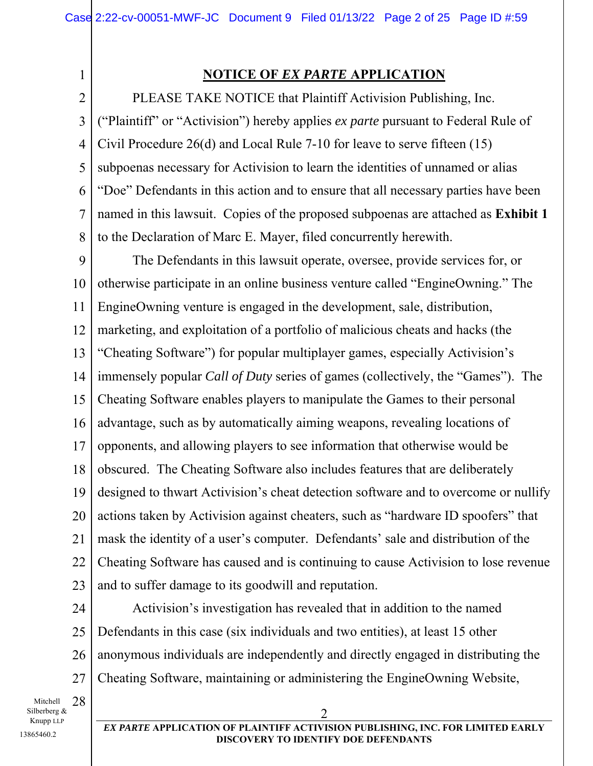1 2

### **NOTICE OF** *EX PARTE* **APPLICATION**

3 4 5 6 7 8 PLEASE TAKE NOTICE that Plaintiff Activision Publishing, Inc. ("Plaintiff" or "Activision") hereby applies *ex parte* pursuant to Federal Rule of Civil Procedure 26(d) and Local Rule 7-10 for leave to serve fifteen (15) subpoenas necessary for Activision to learn the identities of unnamed or alias "Doe" Defendants in this action and to ensure that all necessary parties have been named in this lawsuit. Copies of the proposed subpoenas are attached as **Exhibit 1** to the Declaration of Marc E. Mayer, filed concurrently herewith.

9 10 11 12 13 14 15 16 17 18 19 20 21 22 23 The Defendants in this lawsuit operate, oversee, provide services for, or otherwise participate in an online business venture called "EngineOwning." The EngineOwning venture is engaged in the development, sale, distribution, marketing, and exploitation of a portfolio of malicious cheats and hacks (the "Cheating Software") for popular multiplayer games, especially Activision's immensely popular *Call of Duty* series of games (collectively, the "Games"). The Cheating Software enables players to manipulate the Games to their personal advantage, such as by automatically aiming weapons, revealing locations of opponents, and allowing players to see information that otherwise would be obscured. The Cheating Software also includes features that are deliberately designed to thwart Activision's cheat detection software and to overcome or nullify actions taken by Activision against cheaters, such as "hardware ID spoofers" that mask the identity of a user's computer. Defendants' sale and distribution of the Cheating Software has caused and is continuing to cause Activision to lose revenue and to suffer damage to its goodwill and reputation.

24 25 26 27 Activision's investigation has revealed that in addition to the named Defendants in this case (six individuals and two entities), at least 15 other anonymous individuals are independently and directly engaged in distributing the Cheating Software, maintaining or administering the EngineOwning Website,

Mitchell 28 Silberberg & Knupp LLP 13865460.2

*EX PARTE* **APPLICATION OF PLAINTIFF ACTIVISION PUBLISHING, INC. FOR LIMITED EARLY DISCOVERY TO IDENTIFY DOE DEFENDANTS**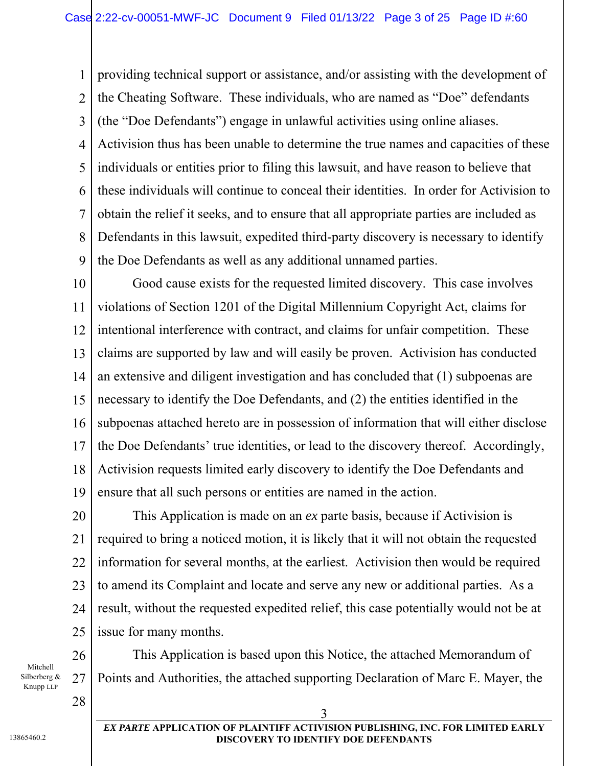1 2 3 4 5 6 7 8 9 providing technical support or assistance, and/or assisting with the development of the Cheating Software. These individuals, who are named as "Doe" defendants (the "Doe Defendants") engage in unlawful activities using online aliases. Activision thus has been unable to determine the true names and capacities of these individuals or entities prior to filing this lawsuit, and have reason to believe that these individuals will continue to conceal their identities. In order for Activision to obtain the relief it seeks, and to ensure that all appropriate parties are included as Defendants in this lawsuit, expedited third-party discovery is necessary to identify the Doe Defendants as well as any additional unnamed parties.

10 11 12 13 14 15 16 17 18 19 Good cause exists for the requested limited discovery. This case involves violations of Section 1201 of the Digital Millennium Copyright Act, claims for intentional interference with contract, and claims for unfair competition. These claims are supported by law and will easily be proven. Activision has conducted an extensive and diligent investigation and has concluded that (1) subpoenas are necessary to identify the Doe Defendants, and (2) the entities identified in the subpoenas attached hereto are in possession of information that will either disclose the Doe Defendants' true identities, or lead to the discovery thereof. Accordingly, Activision requests limited early discovery to identify the Doe Defendants and ensure that all such persons or entities are named in the action.

20 21 22 23 24 25 This Application is made on an *ex* parte basis, because if Activision is required to bring a noticed motion, it is likely that it will not obtain the requested information for several months, at the earliest. Activision then would be required to amend its Complaint and locate and serve any new or additional parties. As a result, without the requested expedited relief, this case potentially would not be at issue for many months.

Mitchell Silberberg & Knupp LLP

28

26

27

This Application is based upon this Notice, the attached Memorandum of Points and Authorities, the attached supporting Declaration of Marc E. Mayer, the

 $\overline{3}$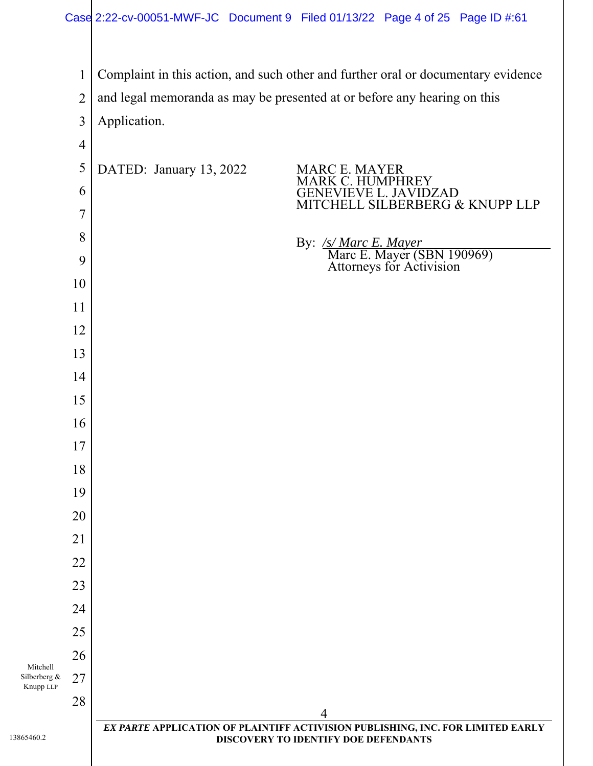Silberberg & Knupp LLP *EX PARTE* **APPLICATION OF PLAINTIFF ACTIVISION PUBLISHING, INC. FOR LIMITED EARLY DISCOVERY TO IDENTIFY DOE DEFENDANTS**  Complaint in this action, and such other and further oral or documentary evidence and legal memoranda as may be presented at or before any hearing on this Application. DATED: January 13, 2022 MARC E. MAYER MARK C. HUMPHREY GENEVIEVE L. JAVIDZAD MITCHELL SILBERBERG & KNUPP LLP By: */s/ Marc E. Mayer*<br>Marc E. Mayer (SBN 190969)<br>Attorneys for Activision

Mitchell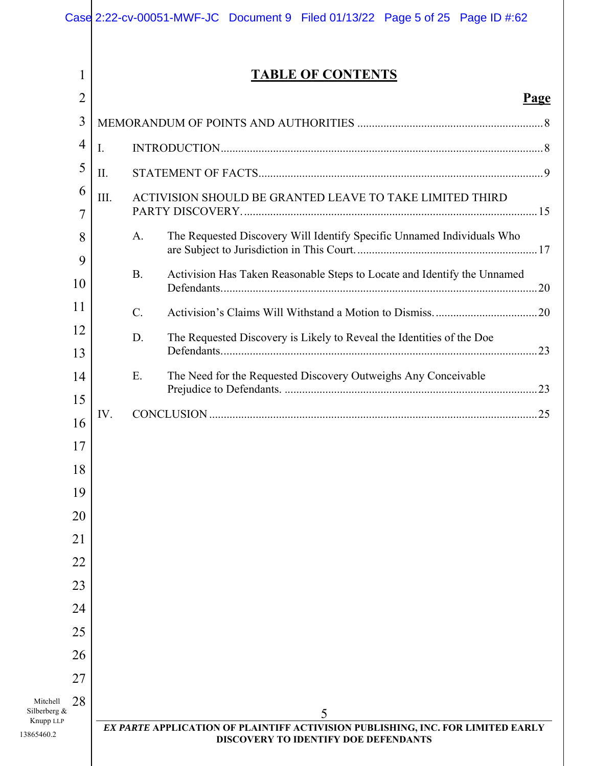|                                                                 | Case 2:22-cv-00051-MWF-JC Document 9 Filed 01/13/22 Page 5 of 25 Page ID #:62         |  |  |
|-----------------------------------------------------------------|---------------------------------------------------------------------------------------|--|--|
| 1                                                               | <b>TABLE OF CONTENTS</b>                                                              |  |  |
| 2                                                               | <u>Page</u>                                                                           |  |  |
| 3                                                               |                                                                                       |  |  |
| $\overline{4}$                                                  | I.                                                                                    |  |  |
| 5                                                               | II.                                                                                   |  |  |
| 6<br>7                                                          | ACTIVISION SHOULD BE GRANTED LEAVE TO TAKE LIMITED THIRD<br>III.                      |  |  |
| 8<br>9                                                          | The Requested Discovery Will Identify Specific Unnamed Individuals Who<br>A.          |  |  |
| 10                                                              | <b>B.</b><br>Activision Has Taken Reasonable Steps to Locate and Identify the Unnamed |  |  |
| 11                                                              | $\mathcal{C}$ .                                                                       |  |  |
| 12                                                              | D.<br>The Requested Discovery is Likely to Reveal the Identities of the Doe           |  |  |
| 13                                                              |                                                                                       |  |  |
| 14                                                              | E.<br>The Need for the Requested Discovery Outweighs Any Conceivable                  |  |  |
| 15                                                              | IV.                                                                                   |  |  |
| 16<br>17                                                        |                                                                                       |  |  |
| 18                                                              |                                                                                       |  |  |
| 19                                                              |                                                                                       |  |  |
| 20                                                              |                                                                                       |  |  |
| 21                                                              |                                                                                       |  |  |
| 22                                                              |                                                                                       |  |  |
| 23                                                              |                                                                                       |  |  |
| 24                                                              |                                                                                       |  |  |
| 25                                                              |                                                                                       |  |  |
| 26                                                              |                                                                                       |  |  |
| 27<br>28<br>Mitchell<br>Silberberg &<br>Knupp LLP<br>13865460.2 | 5<br>EX PARTE APPLICATION OF PLAINTIFF ACTIVISION PUBLISHING, INC. FOR LIMITED EARLY  |  |  |
|                                                                 | DISCOVERY TO IDENTIFY DOE DEFENDANTS                                                  |  |  |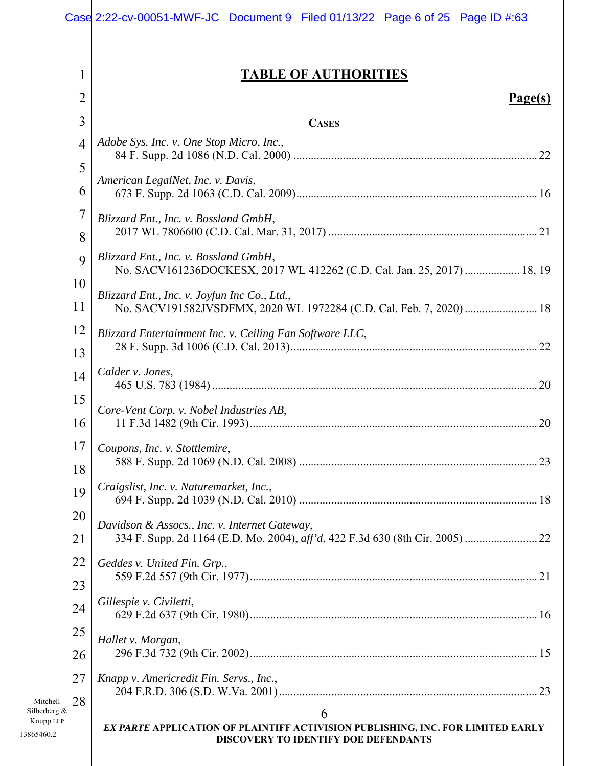|                                             | Case 2:22-cv-00051-MWF-JC Document 9 Filed 01/13/22 Page 6 of 25 Page ID #:63                                           |
|---------------------------------------------|-------------------------------------------------------------------------------------------------------------------------|
| 1                                           | <b>TABLE OF AUTHORITIES</b>                                                                                             |
| 2                                           | $Page(s)$                                                                                                               |
| 3                                           | <b>CASES</b>                                                                                                            |
| $\overline{4}$                              | Adobe Sys. Inc. v. One Stop Micro, Inc.,                                                                                |
| 5                                           |                                                                                                                         |
| 6                                           | American LegalNet, Inc. v. Davis,                                                                                       |
| 7                                           | Blizzard Ent., Inc. v. Bossland GmbH,                                                                                   |
| 8                                           |                                                                                                                         |
| 9                                           | Blizzard Ent., Inc. v. Bossland GmbH,<br>No. SACV161236DOCKESX, 2017 WL 412262 (C.D. Cal. Jan. 25, 2017)  18, 19        |
| 10                                          | Blizzard Ent., Inc. v. Joyfun Inc Co., Ltd.,                                                                            |
| 11                                          | No. SACV191582JVSDFMX, 2020 WL 1972284 (C.D. Cal. Feb. 7, 2020)  18                                                     |
| 12                                          | Blizzard Entertainment Inc. v. Ceiling Fan Software LLC,                                                                |
| 13                                          | Calder v. Jones,                                                                                                        |
| 14                                          |                                                                                                                         |
| 15<br>16                                    | Core-Vent Corp. v. Nobel Industries AB,                                                                                 |
| 17 <sub>l</sub>                             | Coupons, Inc. v. Stottlemire,                                                                                           |
| 18                                          |                                                                                                                         |
| 19                                          | Craigslist, Inc. v. Naturemarket, Inc.,                                                                                 |
| 20                                          | Davidson & Assocs., Inc. v. Internet Gateway,                                                                           |
| 21                                          |                                                                                                                         |
| 22                                          | Geddes v. United Fin. Grp.,                                                                                             |
| 23                                          | Gillespie v. Civiletti,                                                                                                 |
| 24                                          |                                                                                                                         |
| 25                                          | Hallet v. Morgan,                                                                                                       |
| 26                                          |                                                                                                                         |
| 27                                          | Knapp v. Americredit Fin. Servs., Inc.,                                                                                 |
| 28<br>Mitchell<br>Silberberg &<br>Knupp LLP | 6                                                                                                                       |
| 13865460.2                                  | EX PARTE APPLICATION OF PLAINTIFF ACTIVISION PUBLISHING, INC. FOR LIMITED EARLY<br>DISCOVERY TO IDENTIFY DOE DEFENDANTS |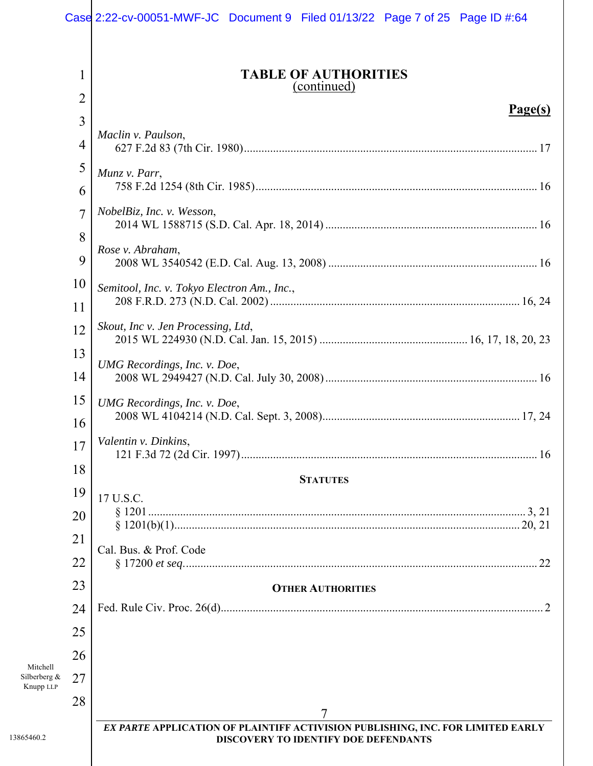#### **TABLE OF AUTHORITIES**  (continued)

### $\mathbf{p}_{\mathbf{a}\mathbf{a}\mathbf{b}}(\mathbf{s})$

| $\overline{3}$ | <u>Page(s)</u>                                                                  |
|----------------|---------------------------------------------------------------------------------|
| 4              | Maclin v. Paulson,                                                              |
| 5              | Munz v. Parr,                                                                   |
| 6              |                                                                                 |
| $\overline{7}$ | NobelBiz, Inc. v. Wesson,                                                       |
| 8              | Rose v. Abraham,                                                                |
| 9              |                                                                                 |
| 10             | Semitool, Inc. v. Tokyo Electron Am., Inc.,                                     |
| 11             |                                                                                 |
| 12             | Skout, Inc v. Jen Processing, Ltd,                                              |
| 13             |                                                                                 |
|                | UMG Recordings, Inc. v. Doe,                                                    |
| 14             |                                                                                 |
| 15             | UMG Recordings, Inc. v. Doe,                                                    |
| 16             |                                                                                 |
| 17             | Valentin v. Dinkins,                                                            |
| 18             | <b>STATUTES</b>                                                                 |
| 19             | 17 U.S.C.                                                                       |
| 20             |                                                                                 |
| 21             |                                                                                 |
| 22             | Cal. Bus. & Prof. Code                                                          |
| 23             | <b>OTHER AUTHORITIES</b>                                                        |
| 24             |                                                                                 |
| 25             |                                                                                 |
|                |                                                                                 |
| 26             |                                                                                 |
| 27             |                                                                                 |
| 28             |                                                                                 |
|                | EX PARTE APPLICATION OF PLAINTIFF ACTIVISION PUBLISHING, INC. FOR LIMITED EARLY |
|                | DISCOVERY TO IDENTIFY DOE DEFENDANTS                                            |
|                |                                                                                 |

Mitchell Silberberg & Knupp LLP

1

2

13865460.2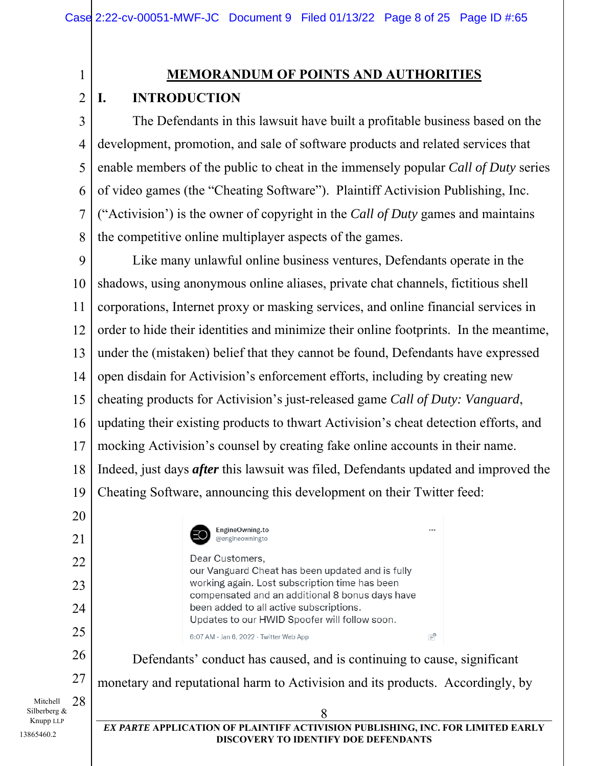### **MEMORANDUM OF POINTS AND AUTHORITIES**

#### 2 **I. INTRODUCTION**

1

13865460.2

3 4 5 6 7 8 The Defendants in this lawsuit have built a profitable business based on the development, promotion, and sale of software products and related services that enable members of the public to cheat in the immensely popular *Call of Duty* series of video games (the "Cheating Software"). Plaintiff Activision Publishing, Inc. ("Activision') is the owner of copyright in the *Call of Duty* games and maintains the competitive online multiplayer aspects of the games.

9 10 11 12 13 14 15 16 17 18 19 Like many unlawful online business ventures, Defendants operate in the shadows, using anonymous online aliases, private chat channels, fictitious shell corporations, Internet proxy or masking services, and online financial services in order to hide their identities and minimize their online footprints. In the meantime, under the (mistaken) belief that they cannot be found, Defendants have expressed open disdain for Activision's enforcement efforts, including by creating new cheating products for Activision's just-released game *Call of Duty: Vanguard*, updating their existing products to thwart Activision's cheat detection efforts, and mocking Activision's counsel by creating fake online accounts in their name. Indeed, just days *after* this lawsuit was filed, Defendants updated and improved the Cheating Software, announcing this development on their Twitter feed:

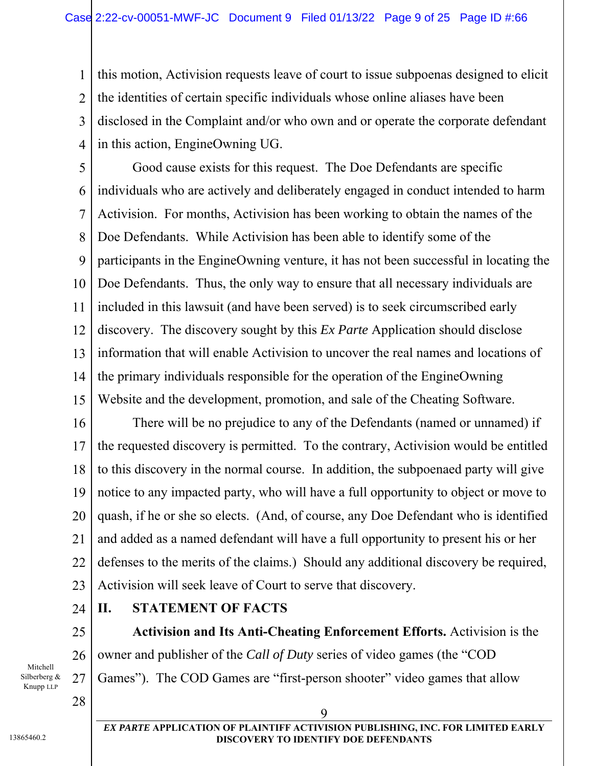1 2 3 4 this motion, Activision requests leave of court to issue subpoenas designed to elicit the identities of certain specific individuals whose online aliases have been disclosed in the Complaint and/or who own and or operate the corporate defendant in this action, EngineOwning UG.

5 6 7 8 9 10 11 12 13 14 15 Good cause exists for this request. The Doe Defendants are specific individuals who are actively and deliberately engaged in conduct intended to harm Activision. For months, Activision has been working to obtain the names of the Doe Defendants. While Activision has been able to identify some of the participants in the EngineOwning venture, it has not been successful in locating the Doe Defendants. Thus, the only way to ensure that all necessary individuals are included in this lawsuit (and have been served) is to seek circumscribed early discovery. The discovery sought by this *Ex Parte* Application should disclose information that will enable Activision to uncover the real names and locations of the primary individuals responsible for the operation of the EngineOwning Website and the development, promotion, and sale of the Cheating Software.

16 17 18 19 20 21 22 23 There will be no prejudice to any of the Defendants (named or unnamed) if the requested discovery is permitted. To the contrary, Activision would be entitled to this discovery in the normal course. In addition, the subpoenaed party will give notice to any impacted party, who will have a full opportunity to object or move to quash, if he or she so elects. (And, of course, any Doe Defendant who is identified and added as a named defendant will have a full opportunity to present his or her defenses to the merits of the claims.) Should any additional discovery be required, Activision will seek leave of Court to serve that discovery.

24

25

26

27

Mitchell Silberberg & Knupp LLP

28

#### *EX PARTE* **APPLICATION OF PLAINTIFF ACTIVISION PUBLISHING, INC. FOR LIMITED EARLY DISCOVERY TO IDENTIFY DOE DEFENDANTS**

**Activision and Its Anti-Cheating Enforcement Efforts.** Activision is the

owner and publisher of the *Call of Duty* series of video games (the "COD

Games"). The COD Games are "first-person shooter" video games that allow

9

**II. STATEMENT OF FACTS**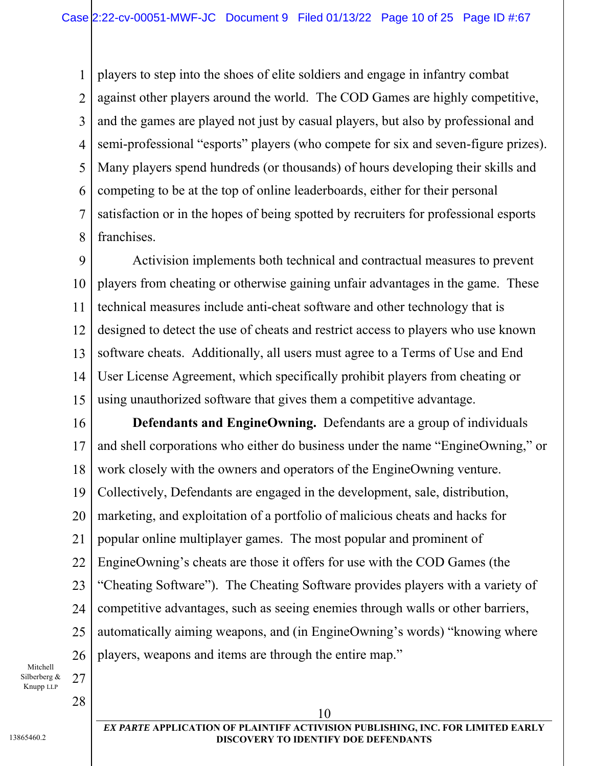1 2 3 4 5 6 7 8 players to step into the shoes of elite soldiers and engage in infantry combat against other players around the world. The COD Games are highly competitive, and the games are played not just by casual players, but also by professional and semi-professional "esports" players (who compete for six and seven-figure prizes). Many players spend hundreds (or thousands) of hours developing their skills and competing to be at the top of online leaderboards, either for their personal satisfaction or in the hopes of being spotted by recruiters for professional esports franchises.

9 10 11 12 13 14 15 Activision implements both technical and contractual measures to prevent players from cheating or otherwise gaining unfair advantages in the game. These technical measures include anti-cheat software and other technology that is designed to detect the use of cheats and restrict access to players who use known software cheats. Additionally, all users must agree to a Terms of Use and End User License Agreement, which specifically prohibit players from cheating or using unauthorized software that gives them a competitive advantage.

16 17 18 19 20 21 22 23 24 25 26 **Defendants and EngineOwning.** Defendants are a group of individuals and shell corporations who either do business under the name "EngineOwning," or work closely with the owners and operators of the EngineOwning venture. Collectively, Defendants are engaged in the development, sale, distribution, marketing, and exploitation of a portfolio of malicious cheats and hacks for popular online multiplayer games. The most popular and prominent of EngineOwning's cheats are those it offers for use with the COD Games (the "Cheating Software"). The Cheating Software provides players with a variety of competitive advantages, such as seeing enemies through walls or other barriers, automatically aiming weapons, and (in EngineOwning's words) "knowing where players, weapons and items are through the entire map."

Mitchell Silberberg & Knupp LLP

28

27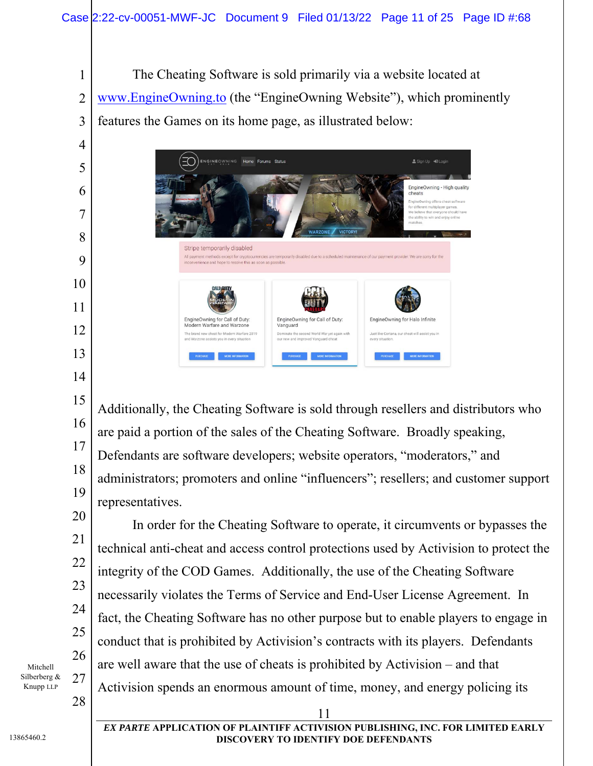1 2 3 The Cheating Software is sold primarily via a website located at www.EngineOwning.to (the "EngineOwning Website"), which prominently features the Games on its home page, as illustrated below:



15 16 17 18 19 Additionally, the Cheating Software is sold through resellers and distributors who are paid a portion of the sales of the Cheating Software. Broadly speaking, Defendants are software developers; website operators, "moderators," and administrators; promoters and online "influencers"; resellers; and customer support representatives.

In order for the Cheating Software to operate, it circumvents or bypasses the technical anti-cheat and access control protections used by Activision to protect the integrity of the COD Games. Additionally, the use of the Cheating Software necessarily violates the Terms of Service and End-User License Agreement. In fact, the Cheating Software has no other purpose but to enable players to engage in conduct that is prohibited by Activision's contracts with its players. Defendants are well aware that the use of cheats is prohibited by Activision – and that Activision spends an enormous amount of time, money, and energy policing its

Mitchell Silberberg & Knupp LLP

4

5

6

7

8

9

10

11

12

13

14

20

21

22

23

24

25

26

27

28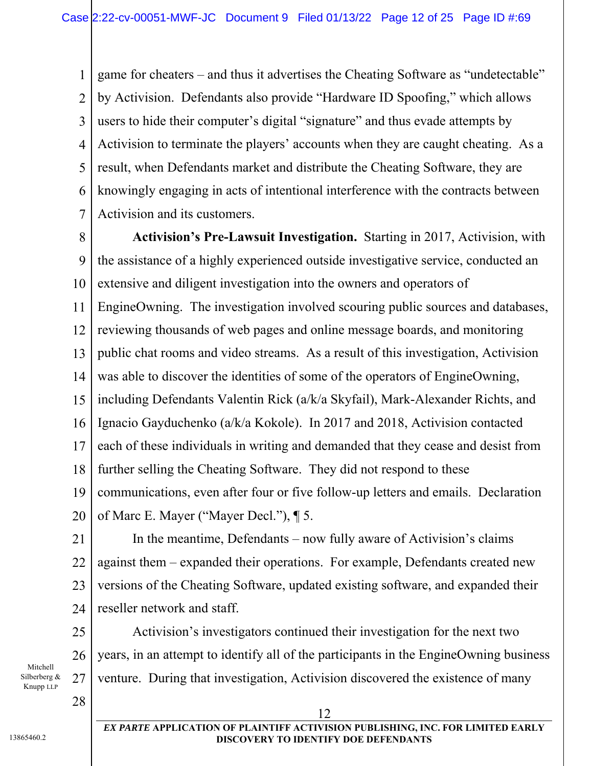1 2 3 4 5 6 7 game for cheaters – and thus it advertises the Cheating Software as "undetectable" by Activision. Defendants also provide "Hardware ID Spoofing," which allows users to hide their computer's digital "signature" and thus evade attempts by Activision to terminate the players' accounts when they are caught cheating. As a result, when Defendants market and distribute the Cheating Software, they are knowingly engaging in acts of intentional interference with the contracts between Activision and its customers.

8 9 10 11 12 13 14 15 16 17 18 19 20 **Activision's Pre-Lawsuit Investigation.** Starting in 2017, Activision, with the assistance of a highly experienced outside investigative service, conducted an extensive and diligent investigation into the owners and operators of EngineOwning. The investigation involved scouring public sources and databases, reviewing thousands of web pages and online message boards, and monitoring public chat rooms and video streams. As a result of this investigation, Activision was able to discover the identities of some of the operators of EngineOwning, including Defendants Valentin Rick (a/k/a Skyfail), Mark-Alexander Richts, and Ignacio Gayduchenko (a/k/a Kokole). In 2017 and 2018, Activision contacted each of these individuals in writing and demanded that they cease and desist from further selling the Cheating Software. They did not respond to these communications, even after four or five follow-up letters and emails. Declaration of Marc E. Mayer ("Mayer Decl."), ¶ 5.

25

26

27

Mitchell Silberberg & Knupp LLP

28

*EX PARTE* **APPLICATION OF PLAINTIFF ACTIVISION PUBLISHING, INC. FOR LIMITED EARLY DISCOVERY TO IDENTIFY DOE DEFENDANTS** 

In the meantime, Defendants – now fully aware of Activision's claims

against them – expanded their operations. For example, Defendants created new

versions of the Cheating Software, updated existing software, and expanded their

Activision's investigators continued their investigation for the next two

years, in an attempt to identify all of the participants in the EngineOwning business

venture. During that investigation, Activision discovered the existence of many

12

reseller network and staff.

13865460.2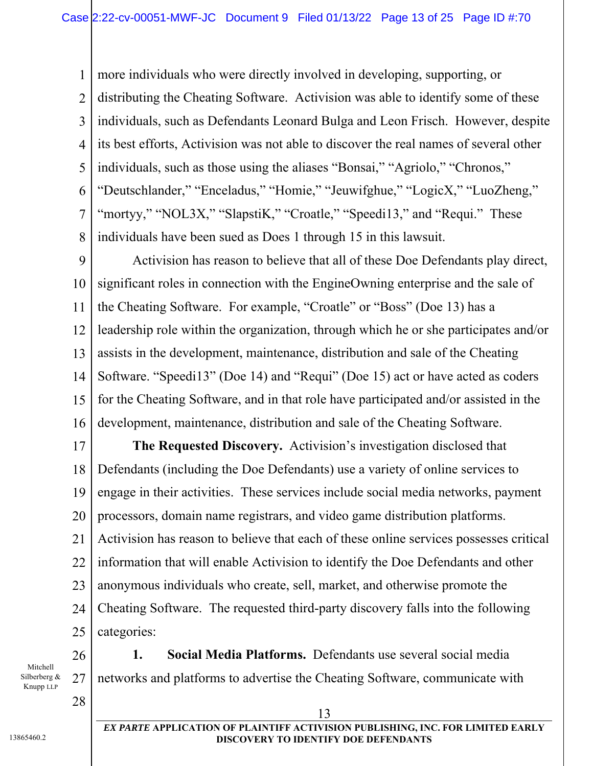1 2 3 4 5 6 7 8 more individuals who were directly involved in developing, supporting, or distributing the Cheating Software. Activision was able to identify some of these individuals, such as Defendants Leonard Bulga and Leon Frisch. However, despite its best efforts, Activision was not able to discover the real names of several other individuals, such as those using the aliases "Bonsai," "Agriolo," "Chronos," "Deutschlander," "Enceladus," "Homie," "Jeuwifghue," "LogicX," "LuoZheng," "mortyy," "NOL3X," "SlapstiK," "Croatle," "Speedi13," and "Requi." These individuals have been sued as Does 1 through 15 in this lawsuit.

9 10 11 12 13 14 15 16 Activision has reason to believe that all of these Doe Defendants play direct, significant roles in connection with the EngineOwning enterprise and the sale of the Cheating Software. For example, "Croatle" or "Boss" (Doe 13) has a leadership role within the organization, through which he or she participates and/or assists in the development, maintenance, distribution and sale of the Cheating Software. "Speedi13" (Doe 14) and "Requi" (Doe 15) act or have acted as coders for the Cheating Software, and in that role have participated and/or assisted in the development, maintenance, distribution and sale of the Cheating Software.

17 18 19 20 21 22 23 24 25 **The Requested Discovery.** Activision's investigation disclosed that Defendants (including the Doe Defendants) use a variety of online services to engage in their activities. These services include social media networks, payment processors, domain name registrars, and video game distribution platforms. Activision has reason to believe that each of these online services possesses critical information that will enable Activision to identify the Doe Defendants and other anonymous individuals who create, sell, market, and otherwise promote the Cheating Software. The requested third-party discovery falls into the following categories:

Mitchell Silberberg & Knupp LLP

28

26

27

**1. Social Media Platforms.** Defendants use several social media networks and platforms to advertise the Cheating Software, communicate with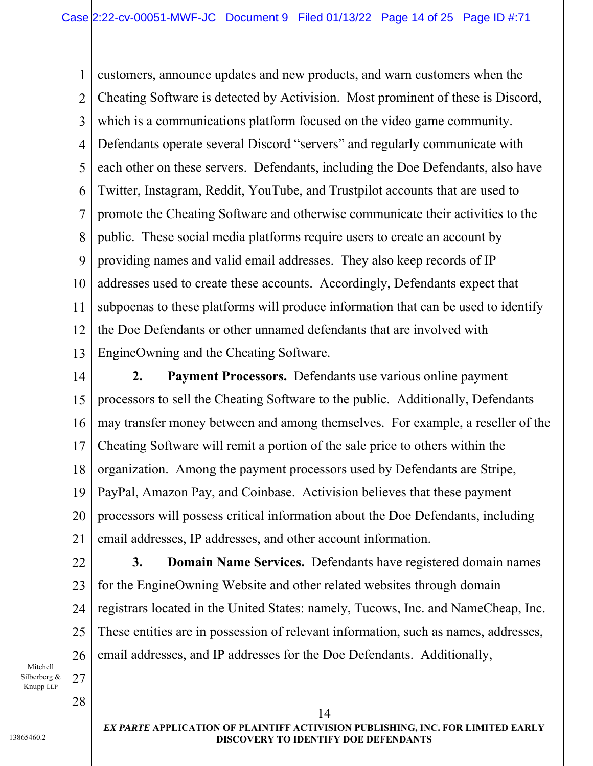1 2 3 4 5 6 7 8 9 10 11 12 13 customers, announce updates and new products, and warn customers when the Cheating Software is detected by Activision. Most prominent of these is Discord, which is a communications platform focused on the video game community. Defendants operate several Discord "servers" and regularly communicate with each other on these servers. Defendants, including the Doe Defendants, also have Twitter, Instagram, Reddit, YouTube, and Trustpilot accounts that are used to promote the Cheating Software and otherwise communicate their activities to the public. These social media platforms require users to create an account by providing names and valid email addresses. They also keep records of IP addresses used to create these accounts. Accordingly, Defendants expect that subpoenas to these platforms will produce information that can be used to identify the Doe Defendants or other unnamed defendants that are involved with EngineOwning and the Cheating Software.

14

15 16 17 18 19 20 21 **2. Payment Processors.** Defendants use various online payment processors to sell the Cheating Software to the public. Additionally, Defendants may transfer money between and among themselves. For example, a reseller of the Cheating Software will remit a portion of the sale price to others within the organization. Among the payment processors used by Defendants are Stripe, PayPal, Amazon Pay, and Coinbase. Activision believes that these payment processors will possess critical information about the Doe Defendants, including email addresses, IP addresses, and other account information.

22 23 24 25 26 **3. Domain Name Services.** Defendants have registered domain names for the EngineOwning Website and other related websites through domain registrars located in the United States: namely, Tucows, Inc. and NameCheap, Inc. These entities are in possession of relevant information, such as names, addresses, email addresses, and IP addresses for the Doe Defendants. Additionally,

Mitchell Silberberg & Knupp LLP

28

27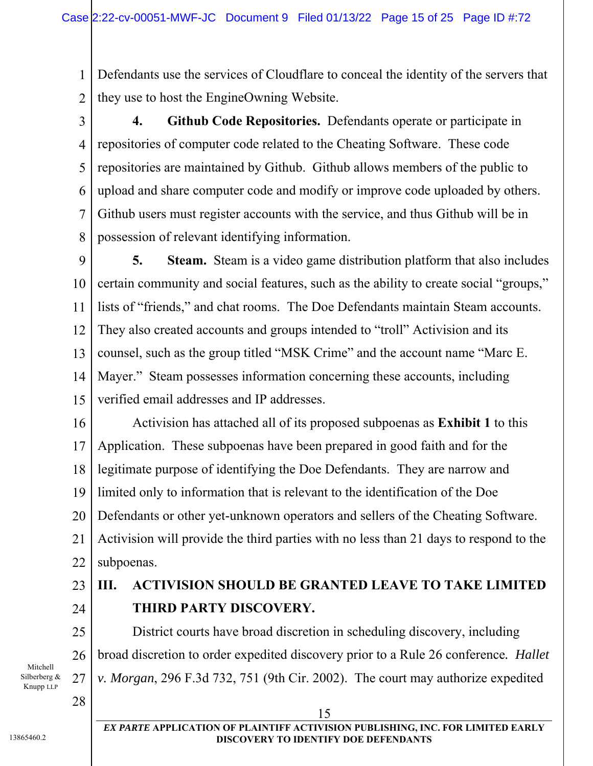1 2 Defendants use the services of Cloudflare to conceal the identity of the servers that they use to host the EngineOwning Website.

3 4 5 6 7 8 **4. Github Code Repositories.** Defendants operate or participate in repositories of computer code related to the Cheating Software. These code repositories are maintained by Github. Github allows members of the public to upload and share computer code and modify or improve code uploaded by others. Github users must register accounts with the service, and thus Github will be in possession of relevant identifying information.

9 10 11 12 13 14 15 **5. Steam.** Steam is a video game distribution platform that also includes certain community and social features, such as the ability to create social "groups," lists of "friends," and chat rooms. The Doe Defendants maintain Steam accounts. They also created accounts and groups intended to "troll" Activision and its counsel, such as the group titled "MSK Crime" and the account name "Marc E. Mayer." Steam possesses information concerning these accounts, including verified email addresses and IP addresses.

16 17 18 19 20 21 22 Activision has attached all of its proposed subpoenas as **Exhibit 1** to this Application. These subpoenas have been prepared in good faith and for the legitimate purpose of identifying the Doe Defendants. They are narrow and limited only to information that is relevant to the identification of the Doe Defendants or other yet-unknown operators and sellers of the Cheating Software. Activision will provide the third parties with no less than 21 days to respond to the subpoenas.

## 23 24

26

27

# **III. ACTIVISION SHOULD BE GRANTED LEAVE TO TAKE LIMITED THIRD PARTY DISCOVERY.**

25 District courts have broad discretion in scheduling discovery, including broad discretion to order expedited discovery prior to a Rule 26 conference*. Hallet v. Morgan*, 296 F.3d 732, 751 (9th Cir. 2002). The court may authorize expedited

Mitchell Silberberg & Knupp LLP

28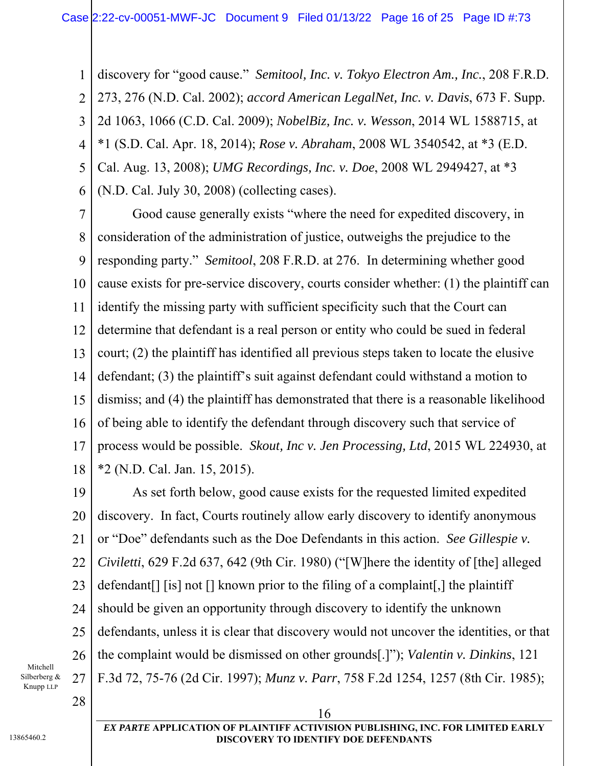1 2 3 4 5 6 discovery for "good cause." *Semitool, Inc. v. Tokyo Electron Am., Inc.*, 208 F.R.D. 273, 276 (N.D. Cal. 2002); *accord American LegalNet, Inc. v. Davis*, 673 F. Supp. 2d 1063, 1066 (C.D. Cal. 2009); *NobelBiz, Inc. v. Wesson*, 2014 WL 1588715, at \*1 (S.D. Cal. Apr. 18, 2014); *Rose v. Abraham*, 2008 WL 3540542, at \*3 (E.D. Cal. Aug. 13, 2008); *UMG Recordings, Inc. v. Doe*, 2008 WL 2949427, at \*3 (N.D. Cal. July 30, 2008) (collecting cases).

7 8 9 10 11 12 13 14 15 16 17 18 Good cause generally exists "where the need for expedited discovery, in consideration of the administration of justice, outweighs the prejudice to the responding party." *Semitool*, 208 F.R.D. at 276. In determining whether good cause exists for pre-service discovery, courts consider whether: (1) the plaintiff can identify the missing party with sufficient specificity such that the Court can determine that defendant is a real person or entity who could be sued in federal court; (2) the plaintiff has identified all previous steps taken to locate the elusive defendant; (3) the plaintiff's suit against defendant could withstand a motion to dismiss; and (4) the plaintiff has demonstrated that there is a reasonable likelihood of being able to identify the defendant through discovery such that service of process would be possible. *Skout, Inc v. Jen Processing, Ltd*, 2015 WL 224930, at \*2 (N.D. Cal. Jan. 15, 2015).

19 20 21 22 23 24 25 26 27 As set forth below, good cause exists for the requested limited expedited discovery. In fact, Courts routinely allow early discovery to identify anonymous or "Doe" defendants such as the Doe Defendants in this action. *See Gillespie v. Civiletti*, 629 F.2d 637, 642 (9th Cir. 1980) ("[W]here the identity of [the] alleged defendant[] [is] not [] known prior to the filing of a complaint[,] the plaintiff should be given an opportunity through discovery to identify the unknown defendants, unless it is clear that discovery would not uncover the identities, or that the complaint would be dismissed on other grounds[.]"); *Valentin v. Dinkins*, 121 F.3d 72, 75-76 (2d Cir. 1997); *Munz v. Parr*, 758 F.2d 1254, 1257 (8th Cir. 1985);

Mitchell Silberberg & Knupp LLP

28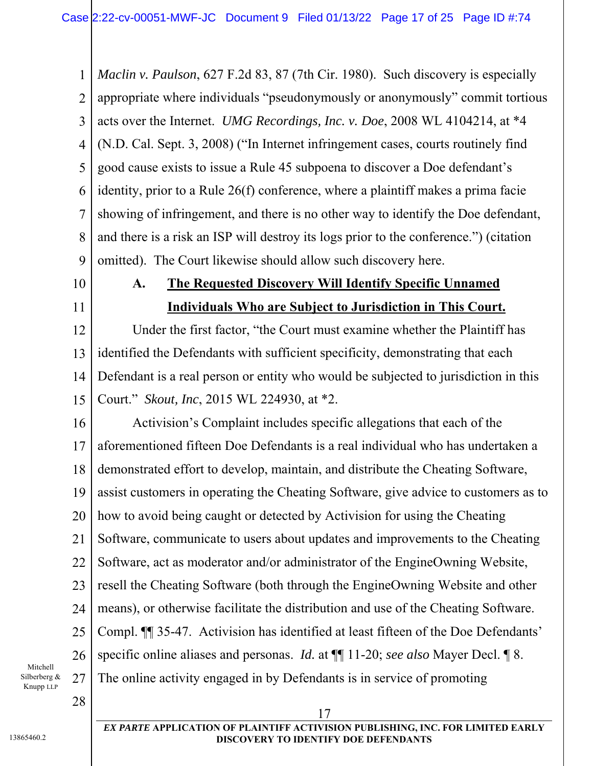1 2 3 4 5 6 7 8 9 *Maclin v. Paulson*, 627 F.2d 83, 87 (7th Cir. 1980). Such discovery is especially appropriate where individuals "pseudonymously or anonymously" commit tortious acts over the Internet. *UMG Recordings, Inc. v. Doe*, 2008 WL 4104214, at \*4 (N.D. Cal. Sept. 3, 2008) ("In Internet infringement cases, courts routinely find good cause exists to issue a Rule 45 subpoena to discover a Doe defendant's identity, prior to a Rule 26(f) conference, where a plaintiff makes a prima facie showing of infringement, and there is no other way to identify the Doe defendant, and there is a risk an ISP will destroy its logs prior to the conference.") (citation omitted). The Court likewise should allow such discovery here.

10 11

# **A. The Requested Discovery Will Identify Specific Unnamed Individuals Who are Subject to Jurisdiction in This Court.**

12 13 14 15 Under the first factor, "the Court must examine whether the Plaintiff has identified the Defendants with sufficient specificity, demonstrating that each Defendant is a real person or entity who would be subjected to jurisdiction in this Court." *Skout, Inc*, 2015 WL 224930, at \*2.

16 17 18 19 20 21 22 23 24 25 26 27 Activision's Complaint includes specific allegations that each of the aforementioned fifteen Doe Defendants is a real individual who has undertaken a demonstrated effort to develop, maintain, and distribute the Cheating Software, assist customers in operating the Cheating Software, give advice to customers as to how to avoid being caught or detected by Activision for using the Cheating Software, communicate to users about updates and improvements to the Cheating Software, act as moderator and/or administrator of the EngineOwning Website, resell the Cheating Software (both through the EngineOwning Website and other means), or otherwise facilitate the distribution and use of the Cheating Software. Compl. ¶¶ 35-47. Activision has identified at least fifteen of the Doe Defendants' specific online aliases and personas. *Id.* at ¶¶ 11-20; *see also* Mayer Decl. ¶ 8. The online activity engaged in by Defendants is in service of promoting

Mitchell Silberberg & Knupp LLP

28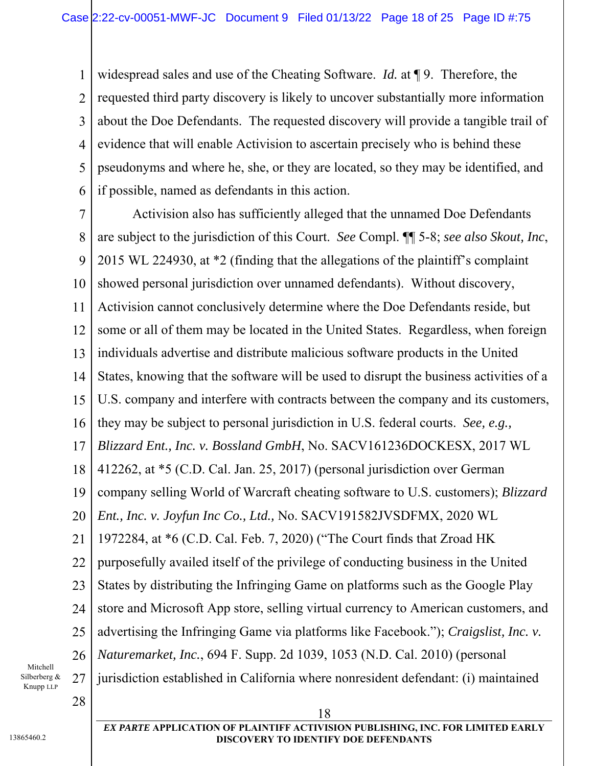1 2 3 4 5 6 widespread sales and use of the Cheating Software. *Id.* at ¶ 9. Therefore, the requested third party discovery is likely to uncover substantially more information about the Doe Defendants. The requested discovery will provide a tangible trail of evidence that will enable Activision to ascertain precisely who is behind these pseudonyms and where he, she, or they are located, so they may be identified, and if possible, named as defendants in this action.

7 8 9 10 11 12 13 14 15 16 17 18 19 20 21 22 23 24 25 26 27 28 18 Activision also has sufficiently alleged that the unnamed Doe Defendants are subject to the jurisdiction of this Court. *See* Compl. ¶¶ 5-8; *see also Skout, Inc*, 2015 WL 224930, at \*2 (finding that the allegations of the plaintiff's complaint showed personal jurisdiction over unnamed defendants). Without discovery, Activision cannot conclusively determine where the Doe Defendants reside, but some or all of them may be located in the United States. Regardless, when foreign individuals advertise and distribute malicious software products in the United States, knowing that the software will be used to disrupt the business activities of a U.S. company and interfere with contracts between the company and its customers, they may be subject to personal jurisdiction in U.S. federal courts. *See, e.g., Blizzard Ent., Inc. v. Bossland GmbH*, No. SACV161236DOCKESX, 2017 WL 412262, at \*5 (C.D. Cal. Jan. 25, 2017) (personal jurisdiction over German company selling World of Warcraft cheating software to U.S. customers); *Blizzard Ent., Inc. v. Joyfun Inc Co., Ltd.,* No. SACV191582JVSDFMX, 2020 WL 1972284, at \*6 (C.D. Cal. Feb. 7, 2020) ("The Court finds that Zroad HK purposefully availed itself of the privilege of conducting business in the United States by distributing the Infringing Game on platforms such as the Google Play store and Microsoft App store, selling virtual currency to American customers, and advertising the Infringing Game via platforms like Facebook."); *Craigslist, Inc. v. Naturemarket, Inc.*, 694 F. Supp. 2d 1039, 1053 (N.D. Cal. 2010) (personal jurisdiction established in California where nonresident defendant: (i) maintained

Mitchell Silberberg & Knupp LLP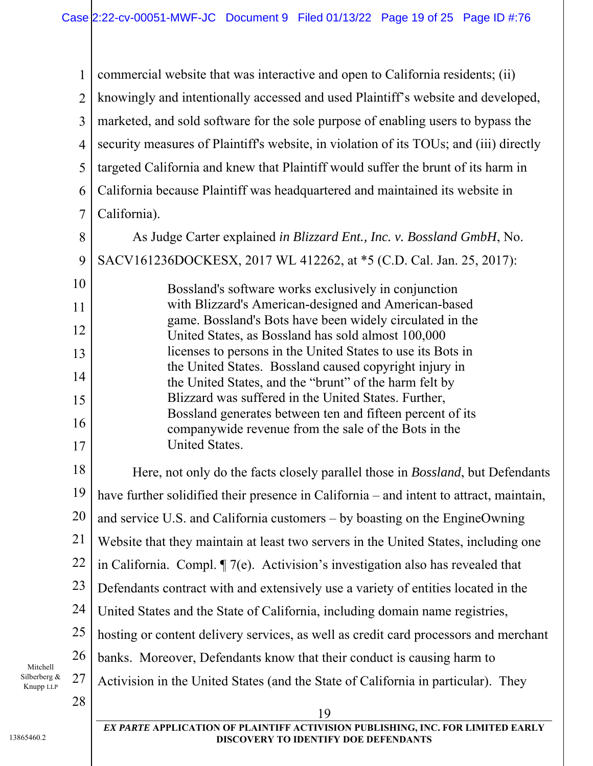1 2 3 4 5 6 7 8 9 10 11 12 13 14 15 16 17 18 19 20 21 22 23 24 25 26 27 28 19 *EX PARTE* **APPLICATION OF PLAINTIFF ACTIVISION PUBLISHING, INC. FOR LIMITED EARLY DISCOVERY TO IDENTIFY DOE DEFENDANTS**  commercial website that was interactive and open to California residents; (ii) knowingly and intentionally accessed and used Plaintiff's website and developed, marketed, and sold software for the sole purpose of enabling users to bypass the security measures of Plaintiff's website, in violation of its TOUs; and (iii) directly targeted California and knew that Plaintiff would suffer the brunt of its harm in California because Plaintiff was headquartered and maintained its website in California). As Judge Carter explained *in Blizzard Ent., Inc. v. Bossland GmbH*, No. SACV161236DOCKESX, 2017 WL 412262, at \*5 (C.D. Cal. Jan. 25, 2017): Bossland's software works exclusively in conjunction with Blizzard's American-designed and American-based game. Bossland's Bots have been widely circulated in the United States, as Bossland has sold almost 100,000 licenses to persons in the United States to use its Bots in the United States. Bossland caused copyright injury in the United States, and the "brunt" of the harm felt by Blizzard was suffered in the United States. Further, Bossland generates between ten and fifteen percent of its companywide revenue from the sale of the Bots in the United States. Here, not only do the facts closely parallel those in *Bossland*, but Defendants have further solidified their presence in California – and intent to attract, maintain, and service U.S. and California customers – by boasting on the EngineOwning Website that they maintain at least two servers in the United States, including one in California. Compl. ¶ 7(e). Activision's investigation also has revealed that Defendants contract with and extensively use a variety of entities located in the United States and the State of California, including domain name registries, hosting or content delivery services, as well as credit card processors and merchant banks. Moreover, Defendants know that their conduct is causing harm to Activision in the United States (and the State of California in particular). They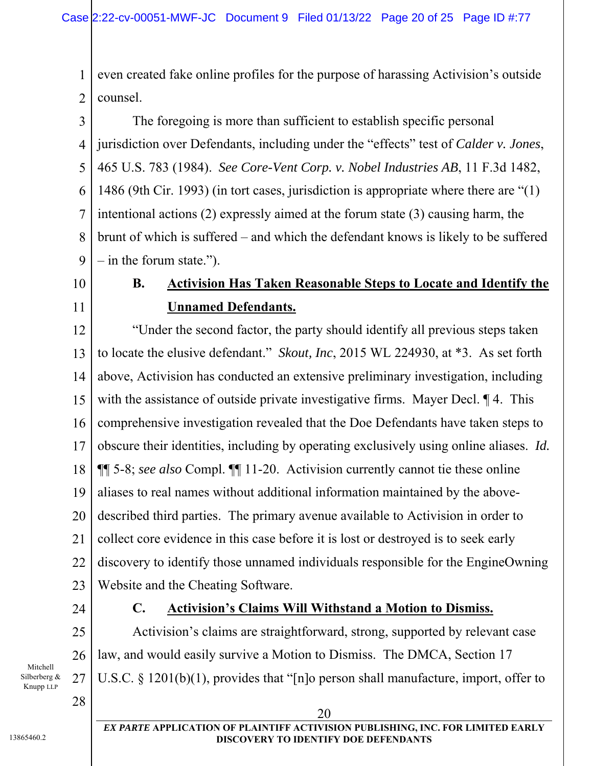1 2 even created fake online profiles for the purpose of harassing Activision's outside counsel.

3 4 5 6 7 8 9 The foregoing is more than sufficient to establish specific personal jurisdiction over Defendants, including under the "effects" test of *Calder v. Jones*, 465 U.S. 783 (1984). *See Core-Vent Corp. v. Nobel Industries AB*, 11 F.3d 1482, 1486 (9th Cir. 1993) (in tort cases, jurisdiction is appropriate where there are "(1) intentional actions (2) expressly aimed at the forum state (3) causing harm, the brunt of which is suffered – and which the defendant knows is likely to be suffered  $-$  in the forum state.").

10

11

# **B. Activision Has Taken Reasonable Steps to Locate and Identify the Unnamed Defendants.**

12 13 14 15 16 17 18 19 20 21 22 23 "Under the second factor, the party should identify all previous steps taken to locate the elusive defendant." *Skout, Inc*, 2015 WL 224930, at \*3. As set forth above, Activision has conducted an extensive preliminary investigation, including with the assistance of outside private investigative firms. Mayer Decl.  $\P$  4. This comprehensive investigation revealed that the Doe Defendants have taken steps to obscure their identities, including by operating exclusively using online aliases. *Id.*  ¶¶ 5-8; *see also* Compl. ¶¶ 11-20. Activision currently cannot tie these online aliases to real names without additional information maintained by the abovedescribed third parties. The primary avenue available to Activision in order to collect core evidence in this case before it is lost or destroyed is to seek early discovery to identify those unnamed individuals responsible for the EngineOwning Website and the Cheating Software.

**C. Activision's Claims Will Withstand a Motion to Dismiss.** 

law, and would easily survive a Motion to Dismiss. The DMCA, Section 17

Activision's claims are straightforward, strong, supported by relevant case

24

25

26

27

#### Mitchell Silberberg & Knupp LLP

28

#### 20 *EX PARTE* **APPLICATION OF PLAINTIFF ACTIVISION PUBLISHING, INC. FOR LIMITED EARLY DISCOVERY TO IDENTIFY DOE DEFENDANTS**

U.S.C. § 1201(b)(1), provides that "[n]o person shall manufacture, import, offer to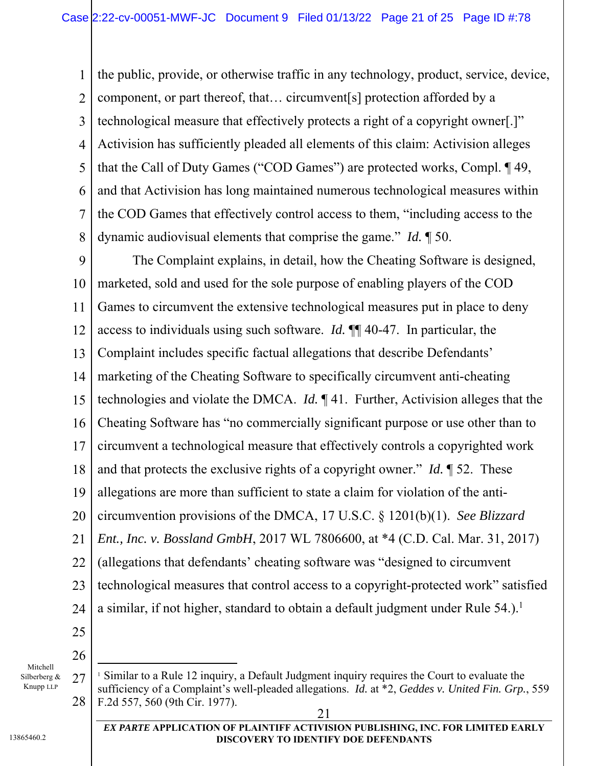1 2 3 4 5 6 7 8 the public, provide, or otherwise traffic in any technology, product, service, device, component, or part thereof, that… circumvent[s] protection afforded by a technological measure that effectively protects a right of a copyright owner[.]" Activision has sufficiently pleaded all elements of this claim: Activision alleges that the Call of Duty Games ("COD Games") are protected works, Compl. ¶ 49, and that Activision has long maintained numerous technological measures within the COD Games that effectively control access to them, "including access to the dynamic audiovisual elements that comprise the game." *Id.* ¶ 50.

9 10 11 12 13 14 15 16 17 18 19 20 21 22 23 24 25 The Complaint explains, in detail, how the Cheating Software is designed, marketed, sold and used for the sole purpose of enabling players of the COD Games to circumvent the extensive technological measures put in place to deny access to individuals using such software. *Id.* ¶¶ 40-47. In particular, the Complaint includes specific factual allegations that describe Defendants' marketing of the Cheating Software to specifically circumvent anti-cheating technologies and violate the DMCA. *Id.* ¶ 41. Further, Activision alleges that the Cheating Software has "no commercially significant purpose or use other than to circumvent a technological measure that effectively controls a copyrighted work and that protects the exclusive rights of a copyright owner." *Id.* ¶ 52. These allegations are more than sufficient to state a claim for violation of the anticircumvention provisions of the DMCA, 17 U.S.C. § 1201(b)(1). *See Blizzard Ent., Inc. v. Bossland GmbH*, 2017 WL 7806600, at \*4 (C.D. Cal. Mar. 31, 2017) (allegations that defendants' cheating software was "designed to circumvent technological measures that control access to a copyright-protected work" satisfied a similar, if not higher, standard to obtain a default judgment under Rule  $54$ .).<sup>1</sup>

Mitchell Silberberg & 26

l

Knupp LLP

**DISCOVERY TO IDENTIFY DOE DEFENDANTS** 

<sup>27</sup> 28 21 <sup>1</sup> Similar to a Rule 12 inquiry, a Default Judgment inquiry requires the Court to evaluate the sufficiency of a Complaint's well-pleaded allegations. *Id.* at \*2, *Geddes v. United Fin. Grp.*, 559 F.2d 557, 560 (9th Cir. 1977).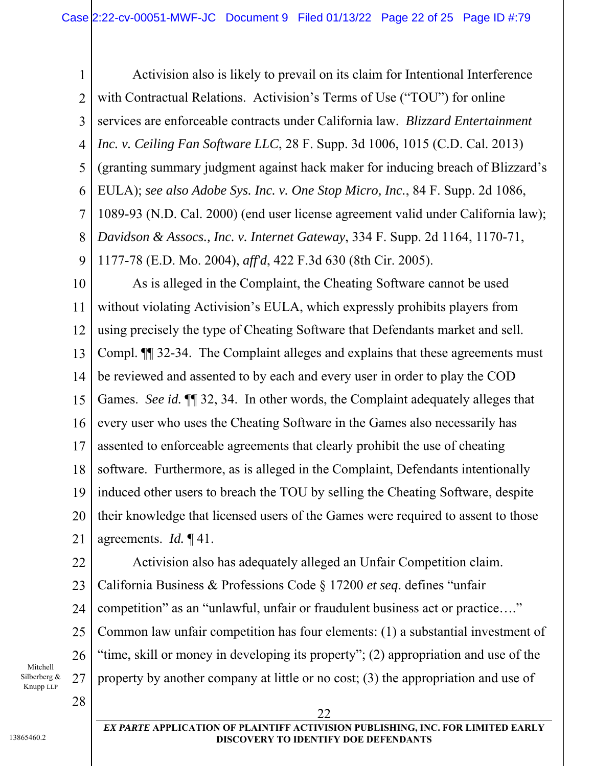1 2 3 4 5 6 7 8 9 Activision also is likely to prevail on its claim for Intentional Interference with Contractual Relations. Activision's Terms of Use ("TOU") for online services are enforceable contracts under California law. *Blizzard Entertainment Inc. v. Ceiling Fan Software LLC*, 28 F. Supp. 3d 1006, 1015 (C.D. Cal. 2013) (granting summary judgment against hack maker for inducing breach of Blizzard's EULA); *see also Adobe Sys. Inc. v. One Stop Micro, Inc.*, 84 F. Supp. 2d 1086, 1089-93 (N.D. Cal. 2000) (end user license agreement valid under California law); *Davidson & Assocs., Inc. v. Internet Gateway*, 334 F. Supp. 2d 1164, 1170-71, 1177-78 (E.D. Mo. 2004), *aff'd*, 422 F.3d 630 (8th Cir. 2005).

10 11 12 13 14 15 16 17 18 19 20 21 As is alleged in the Complaint, the Cheating Software cannot be used without violating Activision's EULA, which expressly prohibits players from using precisely the type of Cheating Software that Defendants market and sell. Compl. ¶¶ 32-34. The Complaint alleges and explains that these agreements must be reviewed and assented to by each and every user in order to play the COD Games. *See id.*  $\P$  32, 34. In other words, the Complaint adequately alleges that every user who uses the Cheating Software in the Games also necessarily has assented to enforceable agreements that clearly prohibit the use of cheating software. Furthermore, as is alleged in the Complaint, Defendants intentionally induced other users to breach the TOU by selling the Cheating Software, despite their knowledge that licensed users of the Games were required to assent to those agreements. *Id.* ¶ 41.

22 23 24 25 26 27 Activision also has adequately alleged an Unfair Competition claim. California Business & Professions Code § 17200 *et seq*. defines "unfair competition" as an "unlawful, unfair or fraudulent business act or practice…." Common law unfair competition has four elements: (1) a substantial investment of "time, skill or money in developing its property"; (2) appropriation and use of the property by another company at little or no cost; (3) the appropriation and use of

22

Mitchell Silberberg & Knupp LLP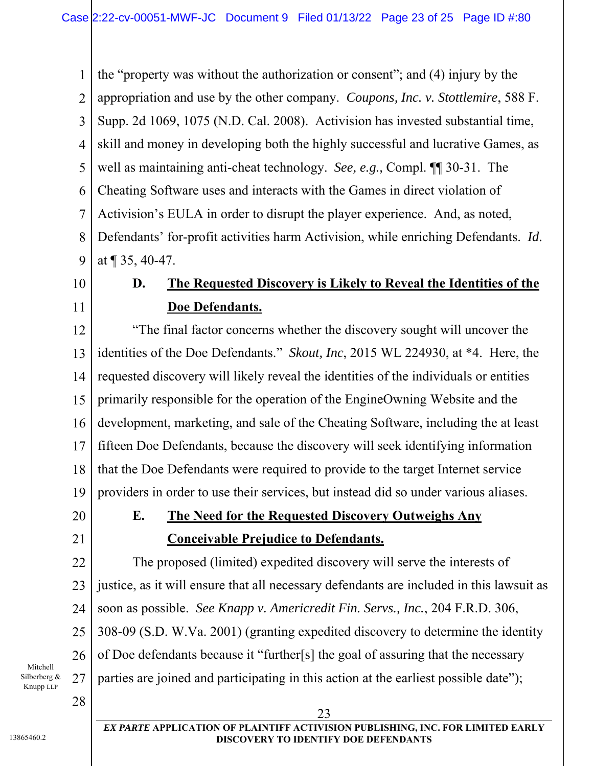1 2 3 4 5 6 7 8 9 the "property was without the authorization or consent"; and (4) injury by the appropriation and use by the other company. *Coupons, Inc. v. Stottlemire*, 588 F. Supp. 2d 1069, 1075 (N.D. Cal. 2008). Activision has invested substantial time, skill and money in developing both the highly successful and lucrative Games, as well as maintaining anti-cheat technology. *See, e.g.,* Compl. ¶¶ 30-31. The Cheating Software uses and interacts with the Games in direct violation of Activision's EULA in order to disrupt the player experience. And, as noted, Defendants' for-profit activities harm Activision, while enriching Defendants. *Id*. at ¶ 35, 40-47.

10 11

# **D. The Requested Discovery is Likely to Reveal the Identities of the Doe Defendants.**

12 13 14 15 16 17 18 19 "The final factor concerns whether the discovery sought will uncover the identities of the Doe Defendants." *Skout, Inc*, 2015 WL 224930, at \*4. Here, the requested discovery will likely reveal the identities of the individuals or entities primarily responsible for the operation of the EngineOwning Website and the development, marketing, and sale of the Cheating Software, including the at least fifteen Doe Defendants, because the discovery will seek identifying information that the Doe Defendants were required to provide to the target Internet service providers in order to use their services, but instead did so under various aliases.

20

21

# **E. The Need for the Requested Discovery Outweighs Any Conceivable Prejudice to Defendants.**

22 23 24 25 26 27 The proposed (limited) expedited discovery will serve the interests of justice, as it will ensure that all necessary defendants are included in this lawsuit as soon as possible. *See Knapp v. Americredit Fin. Servs., Inc.*, 204 F.R.D. 306, 308-09 (S.D. W.Va. 2001) (granting expedited discovery to determine the identity of Doe defendants because it "further[s] the goal of assuring that the necessary parties are joined and participating in this action at the earliest possible date");

Mitchell Silberberg & Knupp LLP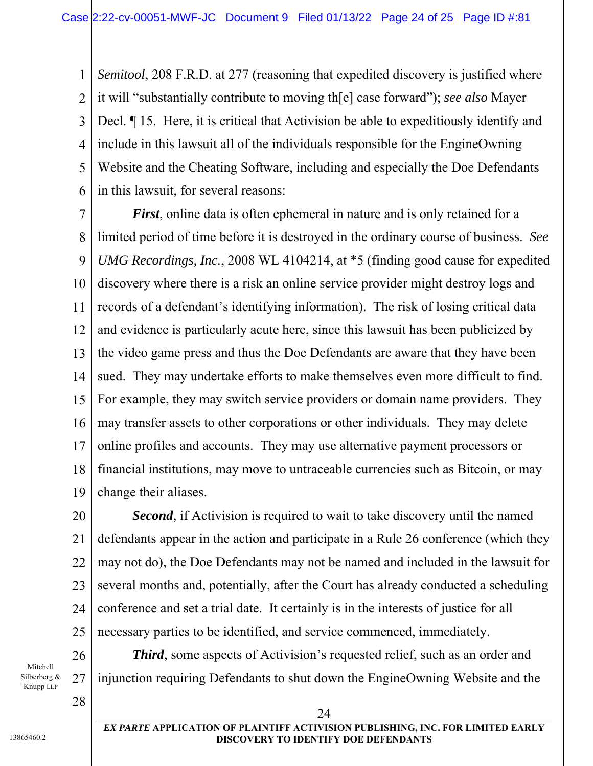1 2 3 4 5 6 *Semitool*, 208 F.R.D. at 277 (reasoning that expedited discovery is justified where it will "substantially contribute to moving th[e] case forward"); *see also* Mayer Decl. ¶ 15. Here, it is critical that Activision be able to expeditiously identify and include in this lawsuit all of the individuals responsible for the EngineOwning Website and the Cheating Software, including and especially the Doe Defendants in this lawsuit, for several reasons:

7 8 9 10 11 12 13 14 15 16 17 18 19 *First*, online data is often ephemeral in nature and is only retained for a limited period of time before it is destroyed in the ordinary course of business. *See UMG Recordings, Inc.*, 2008 WL 4104214, at \*5 (finding good cause for expedited discovery where there is a risk an online service provider might destroy logs and records of a defendant's identifying information). The risk of losing critical data and evidence is particularly acute here, since this lawsuit has been publicized by the video game press and thus the Doe Defendants are aware that they have been sued. They may undertake efforts to make themselves even more difficult to find. For example, they may switch service providers or domain name providers. They may transfer assets to other corporations or other individuals. They may delete online profiles and accounts. They may use alternative payment processors or financial institutions, may move to untraceable currencies such as Bitcoin, or may change their aliases.

20 21 22 23 24 25 *Second*, if Activision is required to wait to take discovery until the named defendants appear in the action and participate in a Rule 26 conference (which they may not do), the Doe Defendants may not be named and included in the lawsuit for several months and, potentially, after the Court has already conducted a scheduling conference and set a trial date. It certainly is in the interests of justice for all necessary parties to be identified, and service commenced, immediately.

Mitchell Silberberg & Knupp LLP

28

26

27

*Third*, some aspects of Activision's requested relief, such as an order and injunction requiring Defendants to shut down the EngineOwning Website and the